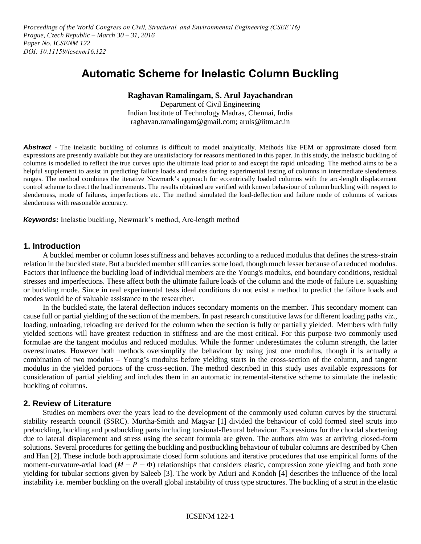*Proceedings of the World Congress on Civil, Structural, and Environmental Engineering (CSEE'16) Prague, Czech Republic – March 30 – 31, 2016 Paper No. ICSENM 122 DOI: 10.11159/icsenm16.122*

# **Automatic Scheme for Inelastic Column Buckling**

# **Raghavan Ramalingam, S. Arul Jayachandran**

Department of Civil Engineering Indian Institute of Technology Madras, Chennai, India raghavan.ramalingam@gmail.com; aruls@iitm.ac.in

Abstract - The inelastic buckling of columns is difficult to model analytically. Methods like FEM or approximate closed form expressions are presently available but they are unsatisfactory for reasons mentioned in this paper. In this study, the inelastic buckling of columns is modelled to reflect the true curves upto the ultimate load prior to and except the rapid unloading. The method aims to be a helpful supplement to assist in predicting failure loads and modes during experimental testing of columns in intermediate slenderness ranges. The method combines the iterative Newmark's approach for eccentrically loaded columns with the arc-length displacement control scheme to direct the load increments. The results obtained are verified with known behaviour of column buckling with respect to slenderness, mode of failures, imperfections etc. The method simulated the load-deflection and failure mode of columns of various slenderness with reasonable accuracy.

*Keywords***:** Inelastic buckling, Newmark's method, Arc-length method

## **1. Introduction**

 A buckled member or column loses stiffness and behaves according to a reduced modulus that defines the stress-strain relation in the buckled state. But a buckled member still carries some load, though much lesser because of a reduced modulus. Factors that influence the buckling load of individual members are the Young's modulus, end boundary conditions, residual stresses and imperfections. These affect both the ultimate failure loads of the column and the mode of failure i.e. squashing or buckling mode. Since in real experimental tests ideal conditions do not exist a method to predict the failure loads and modes would be of valuable assistance to the researcher.

In the buckled state, the lateral deflection induces secondary moments on the member. This secondary moment can cause full or partial yielding of the section of the members. In past research constitutive laws for different loading paths viz., loading, unloading, reloading are derived for the column when the section is fully or partially yielded. Members with fully yielded sections will have greatest reduction in stiffness and are the most critical. For this purpose two commonly used formulae are the tangent modulus and reduced modulus. While the former underestimates the column strength, the latter overestimates. However both methods oversimplify the behaviour by using just one modulus, though it is actually a combination of two modulus – Young's modulus before yielding starts in the cross-section of the column, and tangent modulus in the yielded portions of the cross-section. The method described in this study uses available expressions for consideration of partial yielding and includes them in an automatic incremental-iterative scheme to simulate the inelastic buckling of columns.

# **2. Review of Literature**

 Studies on members over the years lead to the development of the commonly used column curves by the structural stability research council (SSRC). Murtha-Smith and Magyar [1] divided the behaviour of cold formed steel struts into prebuckling, buckling and postbuckling parts including torsional-flexural behaviour. Expressions for the chordal shortening due to lateral displacement and stress using the secant formula are given. The authors aim was at arriving closed-form solutions. Several procedures for getting the buckling and postbuckling behaviour of tubular columns are described by Chen and Han [2]. These include both approximate closed form solutions and iterative procedures that use empirical forms of the moment-curvature-axial load  $(M - P - \Phi)$  relationships that considers elastic, compression zone yielding and both zone yielding for tubular sections given by Saleeb [3]. The work by Atluri and Kondoh [4] describes the influence of the local instability i.e. member buckling on the overall global instability of truss type structures. The buckling of a strut in the elastic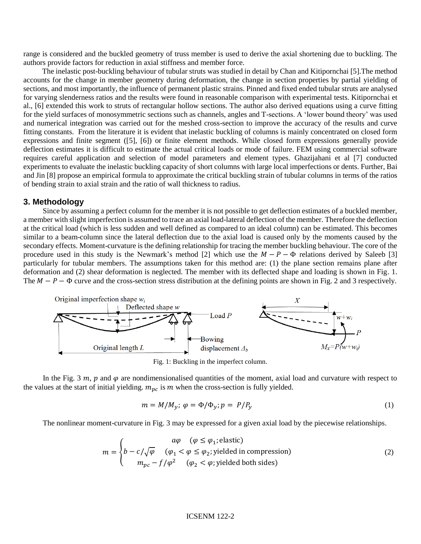range is considered and the buckled geometry of truss member is used to derive the axial shortening due to buckling. The authors provide factors for reduction in axial stiffness and member force.

 The inelastic post-buckling behaviour of tubular struts was studied in detail by Chan and Kitipornchai [5].The method accounts for the change in member geometry during deformation, the change in section properties by partial yielding of sections, and most importantly, the influence of permanent plastic strains. Pinned and fixed ended tubular struts are analysed for varying slenderness ratios and the results were found in reasonable comparison with experimental tests. Kitipornchai et al., [6] extended this work to struts of rectangular hollow sections. The author also derived equations using a curve fitting for the yield surfaces of monosymmetric sections such as channels, angles and T-sections. A 'lower bound theory' was used and numerical integration was carried out for the meshed cross-section to improve the accuracy of the results and curve fitting constants. From the literature it is evident that inelastic buckling of columns is mainly concentrated on closed form expressions and finite segment ([5], [6]) or finite element methods. While closed form expressions generally provide deflection estimates it is difficult to estimate the actual critical loads or mode of failure. FEM using commercial software requires careful application and selection of model parameters and element types. Ghazijahani et al [7] conducted experiments to evaluate the inelastic buckling capacity of short columns with large local imperfections or dents. Further, Bai and Jin [8] propose an empirical formula to approximate the critical buckling strain of tubular columns in terms of the ratios of bending strain to axial strain and the ratio of wall thickness to radius.

#### **3. Methodology**

 Since by assuming a perfect column for the member it is not possible to get deflection estimates of a buckled member, a member with slight imperfection is assumed to trace an axial load-lateral deflection of the member. Therefore the deflection at the critical load (which is less sudden and well defined as compared to an ideal column) can be estimated. This becomes similar to a beam-column since the lateral deflection due to the axial load is caused only by the moments caused by the secondary effects. Moment-curvature is the defining relationship for tracing the member buckling behaviour. The core of the procedure used in this study is the Newmark's method [2] which use the  $M - P - \Phi$  relations derived by Saleeb [3] particularly for tubular members. The assumptions taken for this method are: (1) the plane section remains plane after deformation and (2) shear deformation is neglected. The member with its deflected shape and loading is shown in Fig. 1. The  $M - P - \Phi$  curve and the cross-section stress distribution at the defining points are shown in Fig. 2 and 3 respectively.



Fig. 1: Buckling in the imperfect column.

In the Fig. 3  $m$ ,  $p$  and  $\varphi$  are nondimensionalised quantities of the moment, axial load and curvature with respect to the values at the start of initial yielding.  $m_{nc}$  is  $m$  when the cross-section is fully yielded.

$$
m = M/M_{y}; \varphi = \Phi/\Phi_{y}; p = P/P_{y}
$$
\n(1)

The nonlinear moment-curvature in Fig. 3 may be expressed for a given axial load by the piecewise relationships.

$$
m = \begin{cases} a\varphi & (\varphi \le \varphi_1; \text{elastic}) \\ b - c/\sqrt{\varphi} & (\varphi_1 < \varphi \le \varphi_2; \text{yielded in compression}) \\ m_{pc} - f/\varphi^2 & (\varphi_2 < \varphi; \text{yielded both sides}) \end{cases}
$$
(2)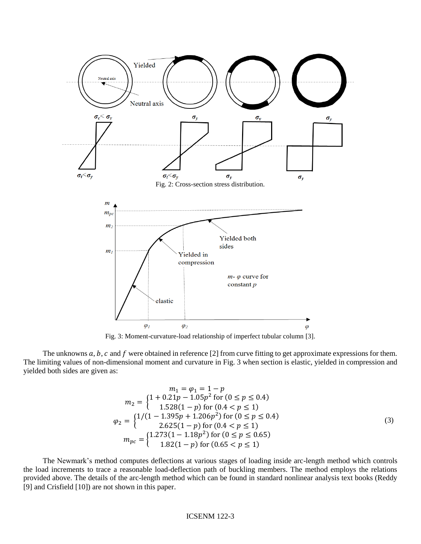

Fig. 3: Moment-curvature-load relationship of imperfect tubular column [3].

The unknowns  $a, b, c$  and  $f$  were obtained in reference [2] from curve fitting to get approximate expressions for them. The limiting values of non-dimensional moment and curvature in Fig. 3 when section is elastic, yielded in compression and yielded both sides are given as:

$$
m_1 = \varphi_1 = 1 - p
$$
  
\n
$$
m_2 = \begin{cases} 1 + 0.21p - 1.05p^2 \text{ for } (0 \le p \le 0.4) \\ 1.528(1 - p) \text{ for } (0.4 < p \le 1) \end{cases}
$$
  
\n
$$
\varphi_2 = \begin{cases} 1/(1 - 1.395p + 1.206p^2) \text{ for } (0 \le p \le 0.4) \\ 2.625(1 - p) \text{ for } (0.4 < p \le 1) \end{cases}
$$
  
\n
$$
m_{pc} = \begin{cases} 1.273(1 - 1.18p^2) \text{ for } (0 \le p \le 0.65) \\ 1.82(1 - p) \text{ for } (0.65 < p \le 1) \end{cases}
$$
 (3)

 The Newmark's method computes deflections at various stages of loading inside arc-length method which controls the load increments to trace a reasonable load-deflection path of buckling members. The method employs the relations provided above. The details of the arc-length method which can be found in standard nonlinear analysis text books (Reddy [9] and Crisfield [10]) are not shown in this paper.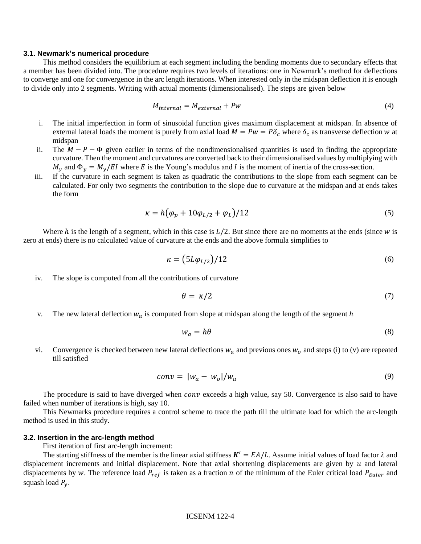#### **3.1. Newmark's numerical procedure**

This method considers the equilibrium at each segment including the bending moments due to secondary effects that a member has been divided into. The procedure requires two levels of iterations: one in Newmark's method for deflections to converge and one for convergence in the arc length iterations. When interested only in the midspan deflection it is enough to divide only into 2 segments. Writing with actual moments (dimensionalised). The steps are given below

$$
M_{internal} = M_{external} + P w \tag{4}
$$

- i. The initial imperfection in form of sinusoidal function gives maximum displacement at midspan. In absence of external lateral loads the moment is purely from axial load  $M = Pw = P\delta_c$  where  $\delta_c$  as transverse deflection w at midspan
- ii. The  $M P \Phi$  given earlier in terms of the nondimensionalised quantities is used in finding the appropriate curvature. Then the moment and curvatures are converted back to their dimensionalised values by multiplying with  $M_{\rm v}$  and  $\Phi_{\rm v} = M_{\rm v}/E I$  where E is the Young's modulus and I is the moment of inertia of the cross-section.
- iii. If the curvature in each segment is taken as quadratic the contributions to the slope from each segment can be calculated. For only two segments the contribution to the slope due to curvature at the midspan and at ends takes the form

$$
\kappa = h(\varphi_p + 10\varphi_{L/2} + \varphi_L)/12\tag{5}
$$

Where  $h$  is the length of a segment, which in this case is  $L/2$ . But since there are no moments at the ends (since  $w$  is zero at ends) there is no calculated value of curvature at the ends and the above formula simplifies to

$$
\kappa = (5L\varphi_{L/2})/12\tag{6}
$$

iv. The slope is computed from all the contributions of curvature

$$
\theta = \kappa/2 \tag{7}
$$

v. The new lateral deflection  $w_a$  is computed from slope at midspan along the length of the segment  $h$ 

$$
w_a = h\theta \tag{8}
$$

vi. Convergence is checked between new lateral deflections  $w_a$  and previous ones  $w_o$  and steps (i) to (v) are repeated till satisfied

$$
conv = |w_a - w_o|/w_a \tag{9}
$$

The procedure is said to have diverged when  $conv$  exceeds a high value, say 50. Convergence is also said to have failed when number of iterations is high, say 10.

 This Newmarks procedure requires a control scheme to trace the path till the ultimate load for which the arc-length method is used in this study.

#### **3.2. Insertion in the arc-length method**

First iteration of first arc-length increment:

The starting stiffness of the member is the linear axial stiffness  $K' = EA/L$ . Assume initial values of load factor  $\lambda$  and displacement increments and initial displacement. Note that axial shortening displacements are given by  $u$  and lateral displacements by w. The reference load  $P_{ref}$  is taken as a fraction n of the minimum of the Euler critical load  $P_{Euler}$  and squash load  $P_y$ .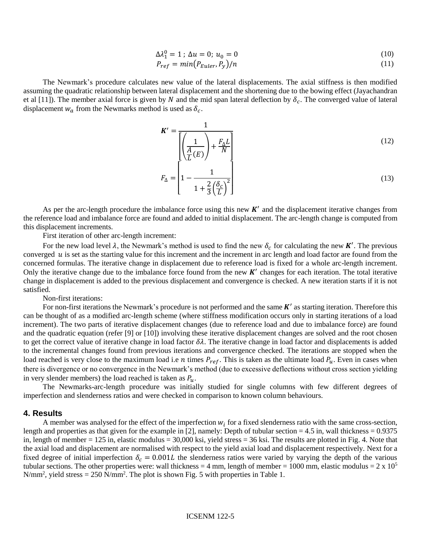$$
\Delta \lambda_1^0 = 1 \; ; \; \Delta u = 0; \; u_0 = 0 \tag{10}
$$

$$
P_{ref} = min(P_{Euler}, P_y)/n \tag{11}
$$

 The Newmark's procedure calculates new value of the lateral displacements. The axial stiffness is then modified assuming the quadratic relationship between lateral displacement and the shortening due to the bowing effect (Jayachandran et al [11]). The member axial force is given by N and the mid span lateral deflection by  $\delta_c$ . The converged value of lateral displacement  $w_a$  from the Newmarks method is used as  $\delta_c$ .

$$
\mathbf{K}' = \frac{1}{\left[ \left( \frac{1}{\frac{A}{L}(E)} \right) + \frac{F_{\Delta}L}{N} \right]}
$$
(12)

$$
F_{\Delta} = \left[1 - \frac{1}{1 + \frac{2}{3} \left(\frac{\delta_c}{L}\right)^2}\right] \tag{13}
$$

As per the arc-length procedure the imbalance force using this new  $K'$  and the displacement iterative changes from the reference load and imbalance force are found and added to initial displacement. The arc-length change is computed from this displacement increments.

First iteration of other arc-length increment:

For the new load level  $\lambda$ , the Newmark's method is used to find the new  $\delta_c$  for calculating the new **K'**. The previous converged  $u$  is set as the starting value for this increment and the increment in arc length and load factor are found from the concerned formulas. The iterative change in displacement due to reference load is fixed for a whole arc-length increment. Only the iterative change due to the imbalance force found from the new  $K'$  changes for each iteration. The total iterative change in displacement is added to the previous displacement and convergence is checked. A new iteration starts if it is not satisfied.

Non-first iterations:

For non-first iterations the Newmark's procedure is not performed and the same  $K'$  as starting iteration. Therefore this can be thought of as a modified arc-length scheme (where stiffness modification occurs only in starting iterations of a load increment). The two parts of iterative displacement changes (due to reference load and due to imbalance force) are found and the quadratic equation (refer [9] or [10]) involving these iterative displacement changes are solved and the root chosen to get the correct value of iterative change in load factor  $\delta\lambda$ . The iterative change in load factor and displacements is added to the incremental changes found from previous iterations and convergence checked. The iterations are stopped when the load reached is very close to the maximum load i.e *n* times  $P_{ref}$ . This is taken as the ultimate load  $P_u$ . Even in cases when there is divergence or no convergence in the Newmark's method (due to excessive deflections without cross section yielding in very slender members) the load reached is taken as  $P_u$ .

 The Newmarks-arc-length procedure was initially studied for single columns with few different degrees of imperfection and slenderness ratios and were checked in comparison to known column behaviours.

## **4. Results**

A member was analysed for the effect of the imperfection  $w_i$  for a fixed slenderness ratio with the same cross-section, length and properties as that given for the example in [2], namely: Depth of tubular section = 4.5 in, wall thickness =  $0.9375$ in, length of member = 125 in, elastic modulus = 30,000 ksi, yield stress = 36 ksi. The results are plotted in Fig. 4. Note that the axial load and displacement are normalised with respect to the yield axial load and displacement respectively. Next for a fixed degree of initial imperfection  $\delta_c = 0.001L$  the slenderness ratios were varied by varying the depth of the various tubular sections. The other properties were: wall thickness = 4 mm, length of member = 1000 mm, elastic modulus =  $2 \times 10^5$  $N/mm^2$ , yield stress = 250  $N/mm^2$ . The plot is shown Fig. 5 with properties in Table 1.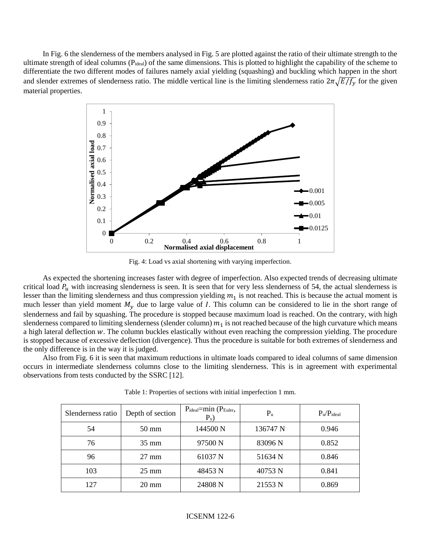In Fig. 6 the slenderness of the members analysed in Fig. 5 are plotted against the ratio of their ultimate strength to the ultimate strength of ideal columns (P<sub>ideal</sub>) of the same dimensions. This is plotted to highlight the capability of the scheme to differentiate the two different modes of failures namely axial yielding (squashing) and buckling which happen in the short and slender extremes of slenderness ratio. The middle vertical line is the limiting slenderness ratio  $2\pi\sqrt{E/f_{\nu}}$  for the given material properties.



Fig. 4: Load vs axial shortening with varying imperfection.

 As expected the shortening increases faster with degree of imperfection. Also expected trends of decreasing ultimate critical load  $P_u$  with increasing slenderness is seen. It is seen that for very less slenderness of 54, the actual slenderness is lesser than the limiting slenderness and thus compression yielding  $m_1$  is not reached. This is because the actual moment is much lesser than yield moment  $M_{\nu}$  due to large value of I. This column can be considered to lie in the short range of slenderness and fail by squashing. The procedure is stopped because maximum load is reached. On the contrary, with high slenderness compared to limiting slenderness (slender column)  $m_1$  is not reached because of the high curvature which means a high lateral deflection  $w$ . The column buckles elastically without even reaching the compression yielding. The procedure is stopped because of excessive deflection (divergence). Thus the procedure is suitable for both extremes of slenderness and the only difference is in the way it is judged.

 Also from Fig. 6 it is seen that maximum reductions in ultimate loads compared to ideal columns of same dimension occurs in intermediate slenderness columns close to the limiting slenderness. This is in agreement with experimental observations from tests conducted by the SSRC [12].

| Slenderness ratio | Depth of section | $P_{ideal}$ =min ( $P_{Euler}$ ,<br>$P_v$ | $P_u$    | $P_u/P_{ideal}$ |
|-------------------|------------------|-------------------------------------------|----------|-----------------|
| 54                | 50 mm            | 144500 N                                  | 136747 N | 0.946           |
| 76                | $35 \text{ mm}$  | 97500 N                                   | 83096 N  | 0.852           |
| 96                | $27 \text{ mm}$  | 61037 N                                   | 51634 N  | 0.846           |
| 103               | $25 \text{ mm}$  | 48453 N                                   | 40753 N  | 0.841           |
| 127               | $20 \text{ mm}$  | 24808 N                                   | 21553 N  | 0.869           |

Table 1: Properties of sections with initial imperfection 1 mm.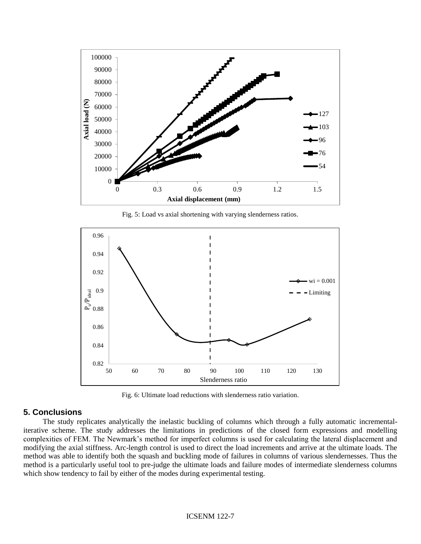

Fig. 5: Load vs axial shortening with varying slenderness ratios.



Fig. 6: Ultimate load reductions with slenderness ratio variation.

# **5. Conclusions**

 The study replicates analytically the inelastic buckling of columns which through a fully automatic incrementaliterative scheme. The study addresses the limitations in predictions of the closed form expressions and modelling complexities of FEM. The Newmark's method for imperfect columns is used for calculating the lateral displacement and modifying the axial stiffness. Arc-length control is used to direct the load increments and arrive at the ultimate loads. The method was able to identify both the squash and buckling mode of failures in columns of various slendernesses. Thus the method is a particularly useful tool to pre-judge the ultimate loads and failure modes of intermediate slenderness columns which show tendency to fail by either of the modes during experimental testing.